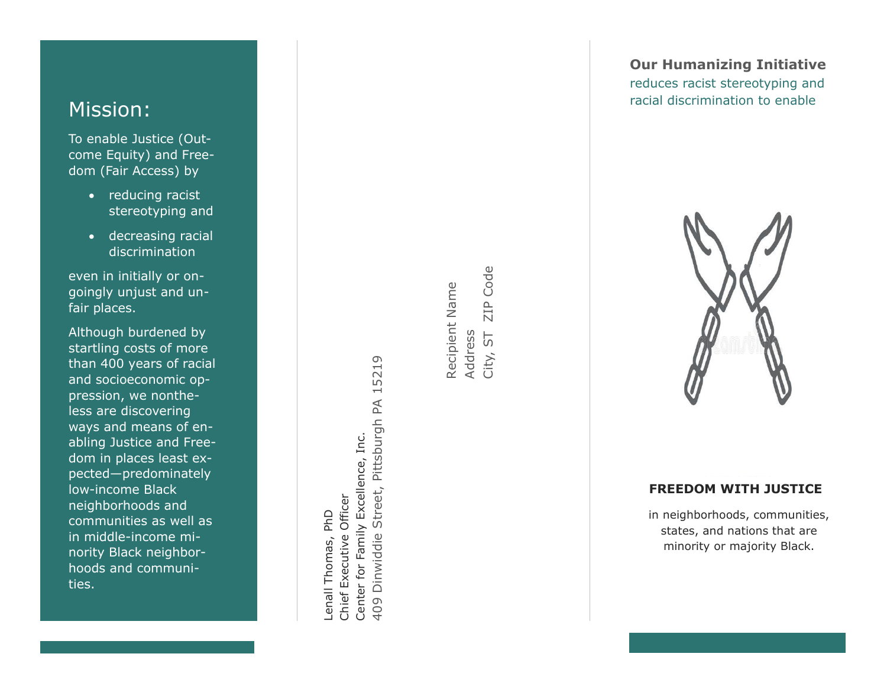# Mission:

To enable Justice (Outcome Equity) and Freedom (Fair Access) by

- reducing racist stereotyping and
- decreasing racial discrimination

even in initially or ongoingly unjust and unfair places.

Although burdened by startling costs of more than 400 years of racial and socioeconomic oppression, we nontheless are discovering ways and means of enabling Justice and Freedom in places least expected—predominately low -income Black neighborhoods and communities as well as in middle -income minority Black neighbor hoods and communities.

Street, Pittsburgh PA 15219 409 Dinwiddie Street, Pittsburgh PA 15219 Center for Family Excellence, Inc. Center for Family Excellence, Inc. Chief Executive Officer Chief Executive Officer enall Thomas, PhD Lenall Thomas, PhD 409 Dinwiddie

ZIP Code City, ST ZIP Code Recipient Name Recipient Name Address<br>City, ST

### **Our Humanizing Initiative** reduces racist stereotyping and racial discrimination to enable



### **FREEDOM WITH JUSTICE**

in neighborhoods, communities, states, and nations that are minority or majority Black .